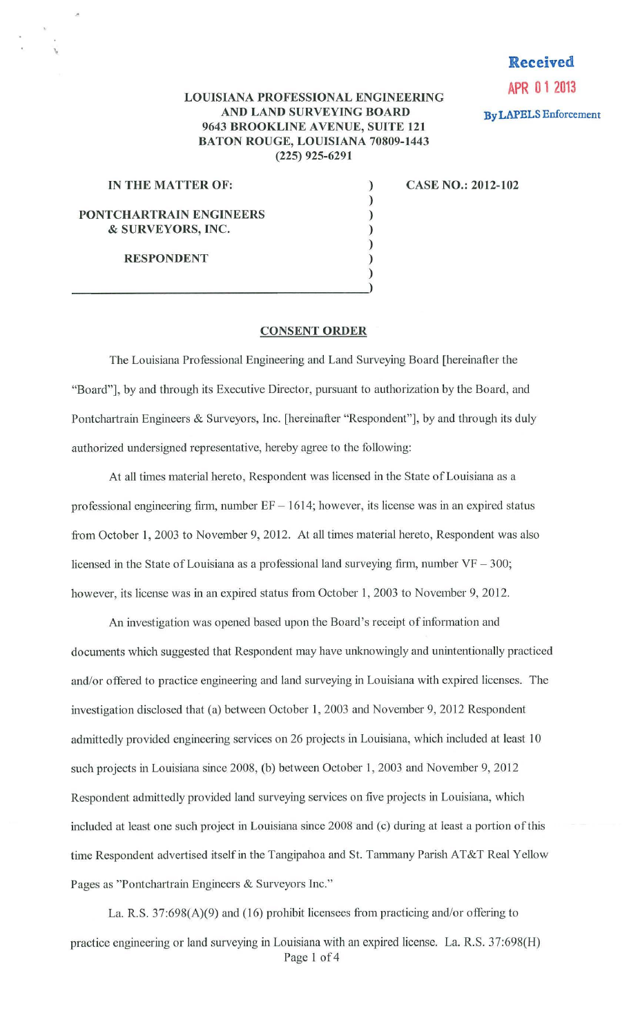# **Received**

**APR 0 1 2013 By LAPELS** Enforcement

### **LOUISIANA PROFESSIONAL ENGINEERING AND LAND SURVEYING BOARD 9643 BROOKLINE A VENUE, SUITE 121 BATON ROUGE, LOUISIANA 70809-1443 (225) 925-6291**

) ) ) ) )

### **IN THE MATTER OF:** )

 $\overline{\mathcal{A}}$ 

**CASE NO.: 2012-102** 

## **PONTCHARTRAIN ENGINEERS**  & **SURVEYORS, INC.**

**RESPONDENT** 

)  $\frac{1}{2}$ 

#### **CONSENT ORDER**

The Louisiana Professional Engineering and Land Surveying Board [hereinafter the "Board"], by and through its Executive Director, pursuant to authorization by the Board, and Pontchartrain Engineers & Surveyors, Inc. [hereinafter "Respondent"], by and through its duly authorized undersigned representative, hereby agree to the following:

At all times material hereto, Respondent was licensed in the State of Louisiana as a professional engineering firm, number  $EF - 1614$ ; however, its license was in an expired status from October 1, 2003 to November 9, 2012. At all times material hereto, Respondent was also licensed in the State of Louisiana as a professional land surveying firm, number  $VF - 300$ ; however, its license was in an expired status from October 1, 2003 to November 9, 2012.

An investigation was opened based upon the Board's receipt of information and documents which suggested that Respondent may have unknowingly and unintentionally practiced and/or offered to practice engineering and land surveying in Louisiana with expired licenses. The investigation disclosed that (a) between October 1, 2003 and November 9, 2012 Respondent admittedly provided engineering services on 26 projects in Louisiana, which included at least 10 such projects in Louisiana since 2008, (b) between October 1, 2003 and November 9, 2012 Respondent admittedly provided land surveying services on five projects in Louisiana, which included at least one such project in Louisiana since 2008 and (c) during at least a portion of this time Respondent advertised itself in the Tangipahoa and St. Tammany Parish AT&T Real Yellow Pages as "Pontchartrain Engineers & Surveyors Inc."

La. R.S. 37:698(A)(9) and (16) prohibit licensees from practicing and/or offering to practice engineering or land surveying in Louisiana with an expired license. La. R.S. 37:698(H) Page I of 4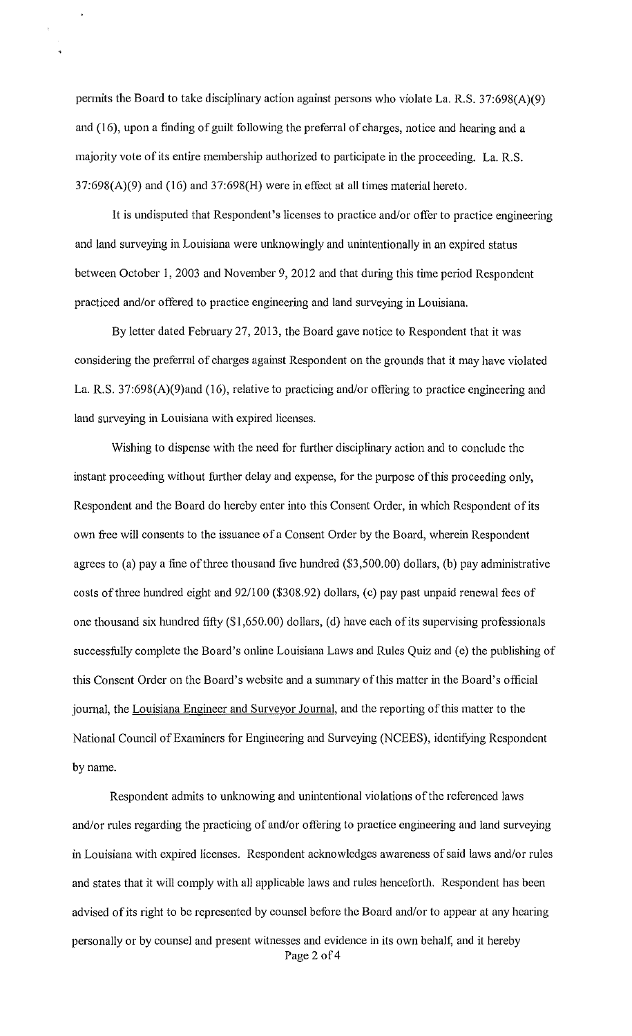permits the Board to take disciplinary action against persons who violate La. R.S. 37:698(A)(9) and (16), upon a finding of guilt following the preferral of charges, notice and hearing and a majority vote of its entire membership authorized to participate in the proceeding. La. R.S.  $37:698(A)(9)$  and  $(16)$  and  $37:698(H)$  were in effect at all times material hereto.

It is undisputed that Respondent's licenses to practice and/or offer to practice engineering and land surveying in Louisiana were unknowingly and unintentionally in an expired status between October I, 2003 and November 9, 2012 and that during this time period Respondent practiced and/or offered to practice engineering and land surveying in Louisiana.

By letter dated February 27, 2013, the Board gave notice to Respondent that it was considering the preferral of charges against Respondent on the grounds that it may have violated La. R.S. 37:698(A)(9)and (16), relative to practicing and/or offering to practice engineering and land surveying in Louisiana with expired licenses.

Wishing to dispense with the need for further disciplinary action and to conclude the instant proceeding without further delay and expense, for the purpose of this proceeding only, Respondent and the Board do hereby enter into this Consent Order, in which Respondent of its own free will consents to the issuance of a Consent Order by the Board, wherein Respondent agrees to (a) pay a fine of three thousand five hundred (\$3,500.00) dollars, (b) pay administrative costs of three hundred eight and 92/100 (\$308.92) dollars, (c) pay past unpaid renewal fees of one thousand six hundred fifty (\$1 ,650.00) dollars, (d) have each of its supervising professionals successfully complete the Board's online Louisiana Laws and Rules Quiz and (e) the publishing of this Consent Order on the Board's website and a summary ofthis matter in the Board's official journal, the Louisiana Engineer and Surveyor Journal, and the reporting of this matter to the National Council of Examiners for Engineering and Surveying (NCEES), identifying Respondent by name.

Respondent admits to unknowing and unintentional violations of the referenced laws and/or rules regarding the practicing of and/or offering to practice engineering and land surveying in Louisiana with expired licenses. Respondent acknowledges awareness of said laws and/or rules and states that it will eomply with all applicable laws and rules henceforth. Respondent has been advised of its right to be represented by counsel before the Board and/or to appear at any hearing personally or by counsel and present witnesses and evidence in its own behalf; and it hereby Page 2 of 4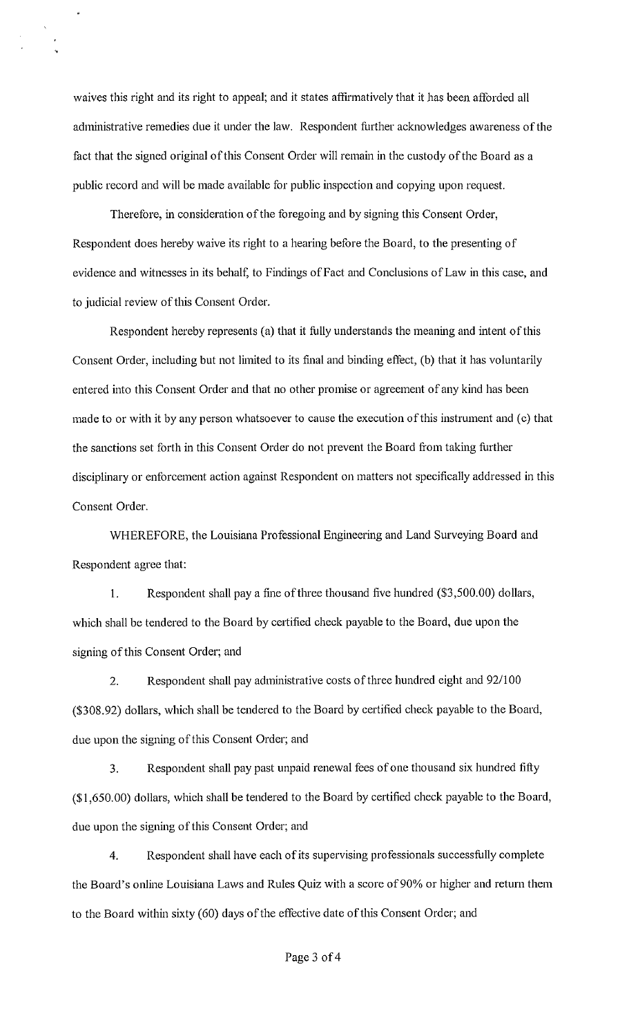waives this right and its right to appeal; and it states affirmatively that it has been afforded all administrative remedies due it under the law. Respondent further acknowledges awareness of the fact that the signed original of this Consent Order will remain in the custody of the Board as a public record and will be made available for public inspection and copying upon request.

Therefore, in consideration of the foregoing and by signing this Consent Order, Respondent does hereby waive its right to a hearing before the Board, to the presenting of evidence and witnesses in its behalf, to Findings of Fact and Conclusions of Law in this case, and to judicial review of this Consent Order.

Respondent hereby represents (a) that it fully understands the meaning and intent of this Consent Order, including but not limited to its final and binding effect, (b) that it has voluntarily entered into this Consent Order and that no other promise or agreement of any kind has been made to or with it by any person whatsoever to cause the execution of this instrument and (c) that the sanctions set forth in this Consent Order do not prevent the Board from taking further disciplinary or enforcement action against Respondent on matters not specifically addressed in this Consent Order.

WHEREFORE, the Louisiana Professional Engineering and Land Surveying Board and Respondent agree that:

I. Respondent shall pay a fine of three thousand five hundred (\$3,500.00) dollars, which shall be tendered to the Board by certified check payable to the Board, due upon the signing of this Consent Order; and

2. Respondent shall pay administrative costs of three hundred eight and 92/100 (\$308.92) dollars, which shall be tendered to the Board by certified check payable to the Board, due upon the signing of this Consent Order; and

3. Respondent shall pay past unpaid renewal fees of one thousand six hundred fifty (\$1,650.00) dollars, which shall be tendered to the Board by certified check payable to the Board, due upon the signing of this Consent Order; and

4. Respondent shall have each of its supervising professionals successfully complete the Board's online Louisiana Laws and Rules Quiz with a score of 90% or higher and return them to the Board within sixty (60) days of the eftective date of this Consent Order; and